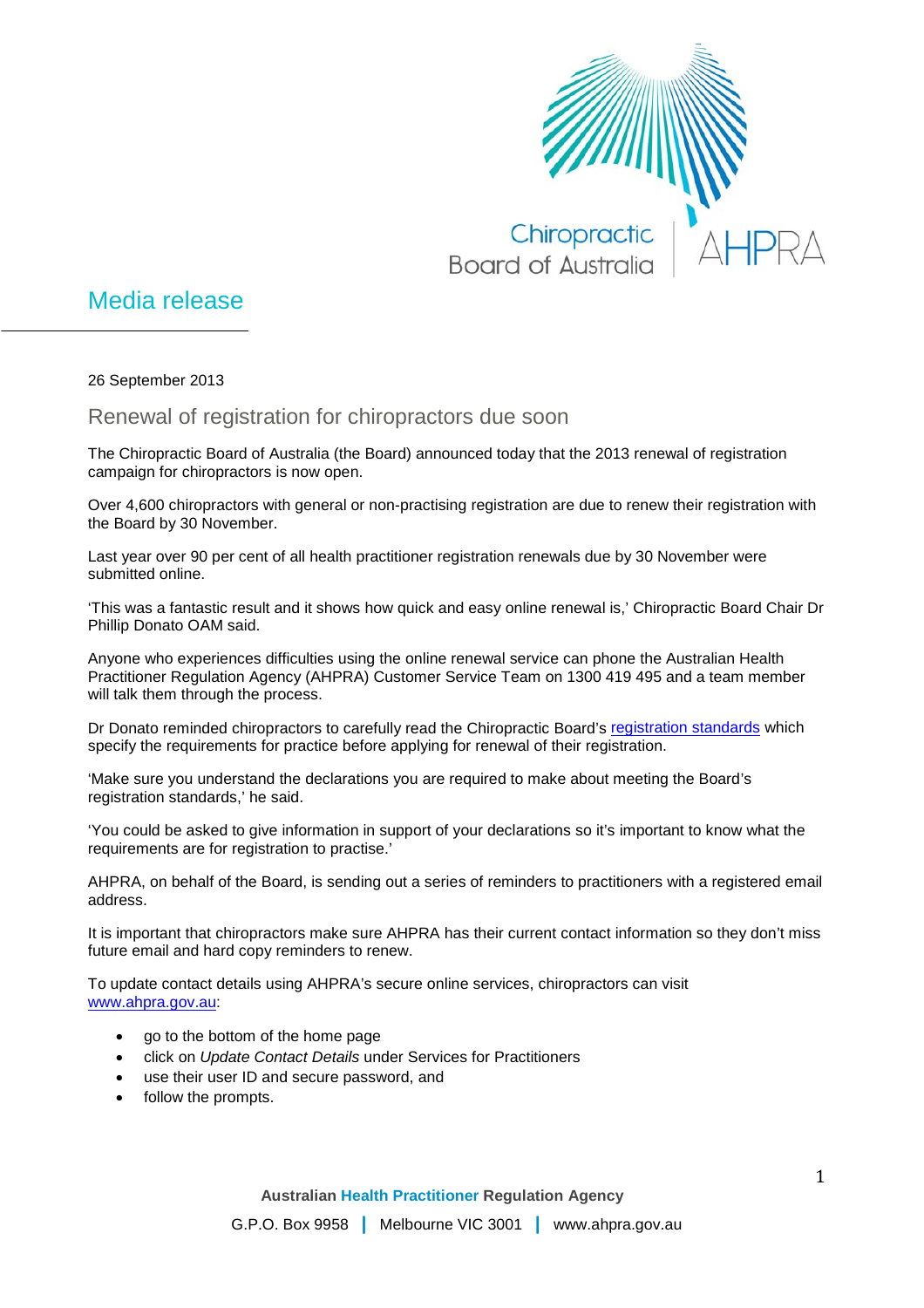

## Media release

26 September 2013

Renewal of registration for chiropractors due soon

The Chiropractic Board of Australia (the Board) announced today that the 2013 renewal of registration campaign for chiropractors is now open.

Over 4,600 chiropractors with general or non-practising registration are due to renew their registration with the Board by 30 November.

Last year over 90 per cent of all health practitioner registration renewals due by 30 November were submitted online.

'This was a fantastic result and it shows how quick and easy online renewal is,' Chiropractic Board Chair Dr Phillip Donato OAM said.

Anyone who experiences difficulties using the online renewal service can phone the Australian Health Practitioner Regulation Agency (AHPRA) Customer Service Team on 1300 419 495 and a team member will talk them through the process.

Dr Donato reminded chiropractors to carefully read the Chiropractic Board's [registration standards](http://www.chiropracticboard.gov.au/Registration-Standards.aspx) which specify the requirements for practice before applying for renewal of their registration.

'Make sure you understand the declarations you are required to make about meeting the Board's registration standards,' he said.

'You could be asked to give information in support of your declarations so it's important to know what the requirements are for registration to practise.'

AHPRA, on behalf of the Board, is sending out a series of reminders to practitioners with a registered email address.

It is important that chiropractors make sure AHPRA has their current contact information so they don't miss future email and hard copy reminders to renew.

To update contact details using AHPRA's secure online services, chiropractors can visit [www.ahpra.gov.au:](http://www.ahpra.gov.au/)

- go to the bottom of the home page
- click on *Update Contact Details* under Services for Practitioners
- use their user ID and secure password, and
- follow the prompts.